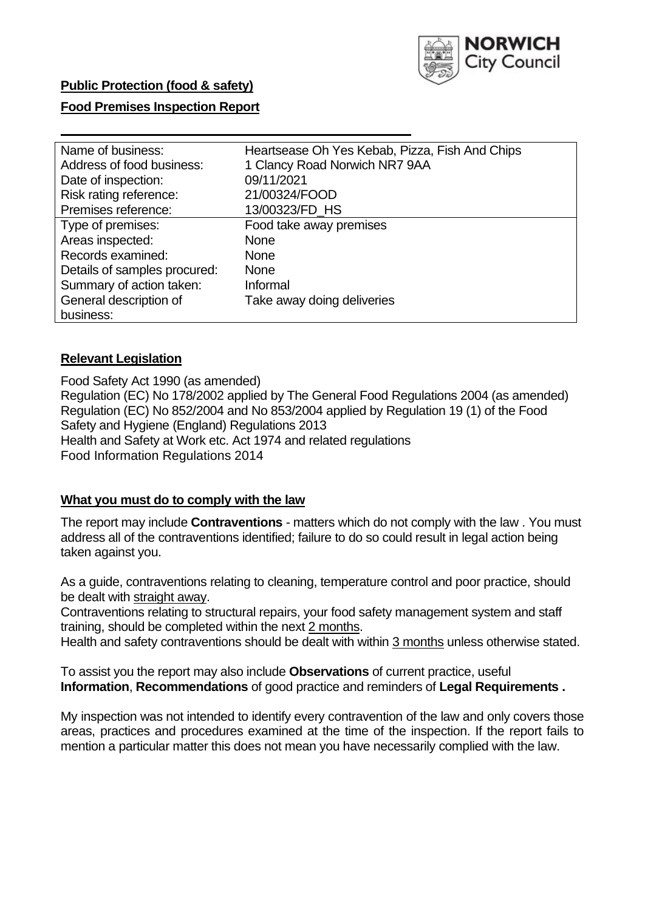

## **Food Premises Inspection Report**

| Name of business:            | Heartsease Oh Yes Kebab, Pizza, Fish And Chips |
|------------------------------|------------------------------------------------|
| Address of food business:    | 1 Clancy Road Norwich NR7 9AA                  |
| Date of inspection:          | 09/11/2021                                     |
| Risk rating reference:       | 21/00324/FOOD                                  |
| Premises reference:          | 13/00323/FD HS                                 |
| Type of premises:            | Food take away premises                        |
| Areas inspected:             | <b>None</b>                                    |
| Records examined:            | <b>None</b>                                    |
| Details of samples procured: | <b>None</b>                                    |
| Summary of action taken:     | Informal                                       |
| General description of       | Take away doing deliveries                     |
| business:                    |                                                |

## **Relevant Legislation**

 Food Safety Act 1990 (as amended) Regulation (EC) No 178/2002 applied by The General Food Regulations 2004 (as amended) Regulation (EC) No 852/2004 and No 853/2004 applied by Regulation 19 (1) of the Food Safety and Hygiene (England) Regulations 2013 Health and Safety at Work etc. Act 1974 and related regulations Food Information Regulations 2014

## **What you must do to comply with the law**

 The report may include **Contraventions** - matters which do not comply with the law . You must address all of the contraventions identified; failure to do so could result in legal action being taken against you.

 As a guide, contraventions relating to cleaning, temperature control and poor practice, should be dealt with straight away.

 Contraventions relating to structural repairs, your food safety management system and staff training, should be completed within the next 2 months.

Health and safety contraventions should be dealt with within 3 months unless otherwise stated.

 To assist you the report may also include **Observations** of current practice, useful **Information**, **Recommendations** of good practice and reminders of **Legal Requirements .** 

 My inspection was not intended to identify every contravention of the law and only covers those areas, practices and procedures examined at the time of the inspection. If the report fails to mention a particular matter this does not mean you have necessarily complied with the law.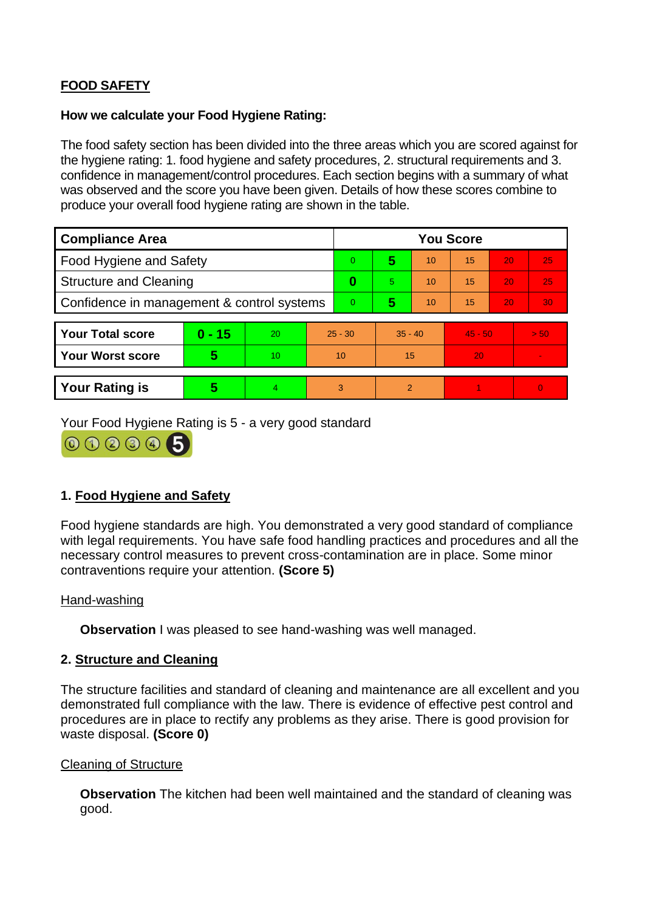# **FOOD SAFETY**

#### **How we calculate your Food Hygiene Rating:**

 The food safety section has been divided into the three areas which you are scored against for the hygiene rating: 1. food hygiene and safety procedures, 2. structural requirements and 3. confidence in management/control procedures. Each section begins with a summary of what was observed and the score you have been given. Details of how these scores combine to produce your overall food hygiene rating are shown in the table.

| <b>Compliance Area</b>                     |          |                  |           | <b>You Score</b> |                |    |           |    |                |  |  |
|--------------------------------------------|----------|------------------|-----------|------------------|----------------|----|-----------|----|----------------|--|--|
| Food Hygiene and Safety                    |          |                  |           | $\overline{0}$   | 5              | 10 | 15        | 20 | 25             |  |  |
| <b>Structure and Cleaning</b>              |          |                  | $\bf{0}$  | 5                | 10             | 15 | 20        | 25 |                |  |  |
| Confidence in management & control systems |          |                  | 0         | 5                | 10             | 15 | 20        | 30 |                |  |  |
|                                            |          |                  |           |                  |                |    |           |    |                |  |  |
| <b>Your Total score</b>                    | $0 - 15$ | 20               | $25 - 30$ |                  | $35 - 40$      |    | $45 - 50$ |    | > 50           |  |  |
| <b>Your Worst score</b>                    | 5        | 10 <sup>10</sup> | 10        |                  | 15             |    | 20        |    | $\blacksquare$ |  |  |
|                                            |          |                  |           |                  |                |    |           |    |                |  |  |
| <b>Your Rating is</b>                      | 5        | $\overline{4}$   | 3         |                  | $\overline{2}$ |    |           |    | $\overline{0}$ |  |  |

Your Food Hygiene Rating is 5 - a very good standard



## **1. Food Hygiene and Safety**

 with legal requirements. You have safe food handling practices and procedures and all the Food hygiene standards are high. You demonstrated a very good standard of compliance necessary control measures to prevent cross-contamination are in place. Some minor contraventions require your attention. **(Score 5)** 

## Hand-washing

**Observation** I was pleased to see hand-washing was well managed.

## **2. Structure and Cleaning**

 procedures are in place to rectify any problems as they arise. There is good provision for The structure facilities and standard of cleaning and maintenance are all excellent and you demonstrated full compliance with the law. There is evidence of effective pest control and waste disposal. **(Score 0)** 

## Cleaning of Structure

 **Observation** The kitchen had been well maintained and the standard of cleaning was good.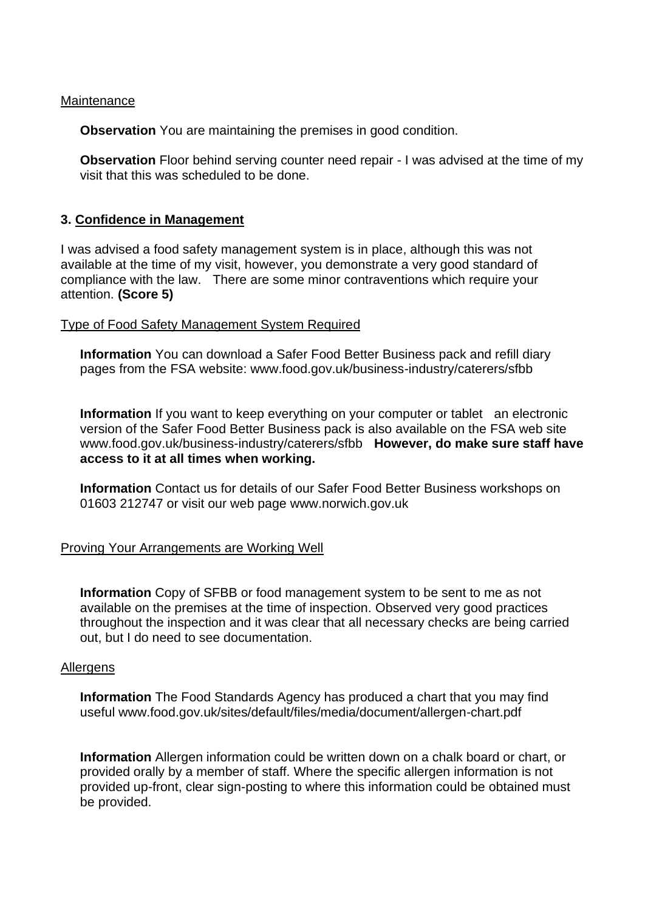#### **Maintenance**

**Observation** You are maintaining the premises in good condition.

 visit that this was scheduled to be done. **Observation** Floor behind serving counter need repair - I was advised at the time of my

#### **3. Confidence in Management**

I was advised a food safety management system is in place, although this was not available at the time of my visit, however, you demonstrate a very good standard of compliance with the law. There are some minor contraventions which require your attention. **(Score 5)** 

#### Type of Food Safety Management System Required

**Information** You can download a Safer Food Better Business pack and refill diary pages from the FSA website:<www.food.gov.uk/business-industry/caterers/sfbb>

 **Information** If you want to keep everything on your computer or tablet an electronic <www.food.gov.uk/business-industry/caterers/sfbb>**However, do make sure staff have**  version of the Safer Food Better Business pack is also available on the FSA web site **access to it at all times when working.** 

**Information** Contact us for details of our Safer Food Better Business workshops on 01603 212747 or visit our web page<www.norwich.gov.uk>

## Proving Your Arrangements are Working Well

**Information** Copy of SFBB or food management system to be sent to me as not available on the premises at the time of inspection. Observed very good practices throughout the inspection and it was clear that all necessary checks are being carried out, but I do need to see documentation.

#### Allergens

 **Information** The Food Standards Agency has produced a chart that you may find useful <www.food.gov.uk/sites/default/files/media/document/allergen-chart.pdf>

 **Information** Allergen information could be written down on a chalk board or chart, or provided orally by a member of staff. Where the specific allergen information is not provided up-front, clear sign-posting to where this information could be obtained must be provided.